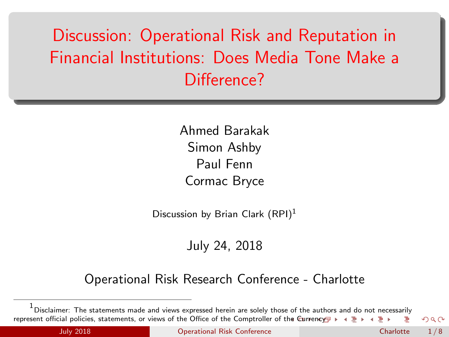# <span id="page-0-0"></span>Discussion: Operational Risk and Reputation in Financial Institutions: Does Media Tone Make a Difference?

Ahmed Barakak Simon Ashby Paul Fenn Cormac Bryce

Discussion by Brian Clark  $(RPI)^1$ 

July 24, 2018

#### Operational Risk Research Conference - Charlotte

<sup>1&</sup>lt;br><sup>1</sup> Disclaimer: The statements made and views expressed herein are solely those of the aut[hor](#page-0-0)[s a](#page-1-0)[nd](#page-0-0) [do n](#page-7-0)[ot n](#page-0-0)[eces](#page-7-0)[sari](#page-0-0)[ly](#page-7-0) represent official policies, statements, or views of the Office of the Comptroller of t[he C](#page-0-0)[urre](#page-1-0)[ncy](#page-0-0)  $\Omega$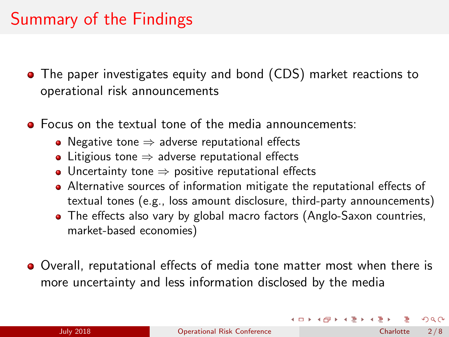### <span id="page-1-0"></span>Summary of the Findings

- The paper investigates equity and bond (CDS) market reactions to operational risk announcements
- **•** Focus on the textual tone of the media announcements:
	- Negative tone  $\Rightarrow$  adverse reputational effects
	- Litigious tone  $\Rightarrow$  adverse reputational effects
	- Uncertainty tone  $\Rightarrow$  positive reputational effects
	- Alternative sources of information mitigate the reputational effects of textual tones (e.g., loss amount disclosure, third-party announcements)
	- The effects also vary by global macro factors (Anglo-Saxon countries, market-based economies)
- Overall, reputational effects of media tone matter most when there is more uncertainty and less information disclosed by the media

 $\Omega$ 

イロト イ部 トイモト イモト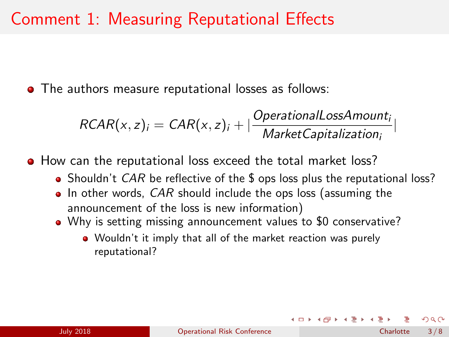#### <span id="page-2-0"></span>Comment 1: Measuring Reputational Effects

The authors measure reputational losses as follows:

$$
RCAR(x, z)i = CAR(x, z)i + |\frac{OperationalLossAmounti}{Market Capitalizationi}|
$$

**•** How can the reputational loss exceed the total market loss?

- Shouldn't CAR be reflective of the \$ ops loss plus the reputational loss?
- $\bullet$  In other words, CAR should include the ops loss (assuming the announcement of the loss is new information)
- Why is setting missing announcement values to \$0 conservative?
	- Wouldn't it imply that all of the market reaction was purely reputational?

 $\Omega$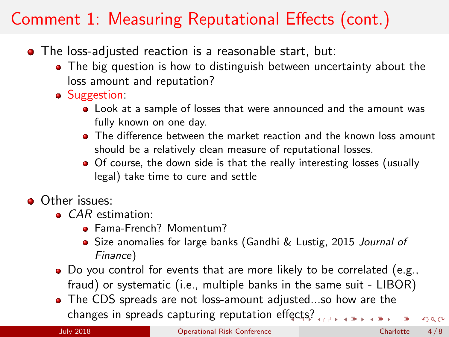## <span id="page-3-0"></span>Comment 1: Measuring Reputational Effects (cont.)

- The loss-adjusted reaction is a reasonable start, but:
	- The big question is how to distinguish between uncertainty about the loss amount and reputation?
	- Suggestion:
		- Look at a sample of losses that were announced and the amount was fully known on one day.
		- **•** The difference between the market reaction and the known loss amount should be a relatively clean measure of reputational losses.
		- Of course, the down side is that the really interesting losses (usually legal) take time to cure and settle
- **Other issues:** 
	- **CAR** estimation:
		- Fama-French? Momentum?
		- Size anomalies for large banks (Gandhi & Lustig, 2015 Journal of Finance)
	- Do you control for events that are more likely to be correlated (e.g., fraud) or systematic (i.e., multiple banks in the same suit - LIBOR)
	- The CDS spreads are not loss-amount adjusted...so how are the changes in spreads capturing reputation e[ffec](#page-2-0)t[s?](#page-4-0)

July 2018 [Operational Risk Conference](#page-0-0) Charlotte 4 / 8

 $QQ$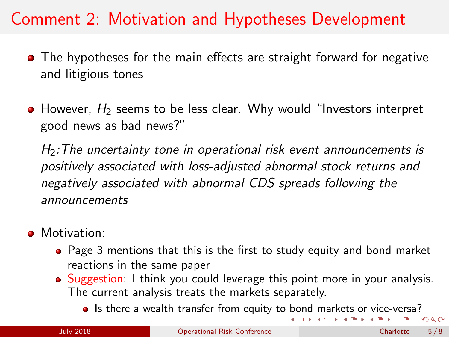### <span id="page-4-0"></span>Comment 2: Motivation and Hypotheses Development

- The hypotheses for the main effects are straight forward for negative and litigious tones
- $\bullet$  However,  $H_2$  seems to be less clear. Why would "Investors interpret good news as bad news?"

 $H_2$ : The uncertainty tone in operational risk event announcements is positively associated with loss-adjusted abnormal stock returns and negatively associated with abnormal CDS spreads following the announcements

- **A** Motivation:
	- Page 3 mentions that this is the first to study equity and bond market reactions in the same paper
	- Suggestion: I think you could leverage this point more in your analysis. The current analysis treats the markets separately.
		- Is there a wealth transfer from equity to [bo](#page-3-0)[nd](#page-5-0) [m](#page-3-0)[ar](#page-4-0)[k](#page-5-0)[ets](#page-0-0) [or](#page-7-0) [vi](#page-0-0)[ce-](#page-7-0)[ver](#page-0-0)[sa?](#page-7-0)  $4$  (D  $\rightarrow$   $4$   $\overline{m}$  )  $\rightarrow$   $4$   $\overline{m}$  )  $\rightarrow$   $4$

 $\Omega$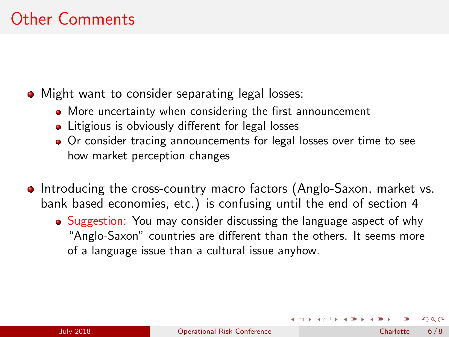## <span id="page-5-0"></span>Other Comments

- Might want to consider separating legal losses:
	- More uncertainty when considering the first announcement
	- **•** Litigious is obviously different for legal losses
	- Or consider tracing announcements for legal losses over time to see how market perception changes
- **Introducing the cross-country macro factors (Anglo-Saxon, market vs.**) bank based economies, etc.) is confusing until the end of section 4
	- Suggestion: You may consider discussing the language aspect of why "Anglo-Saxon" countries are different than the others. It seems more of a language issue than a cultural issue anyhow.

 $\Omega$ 

イロト イ押ト イミト イミト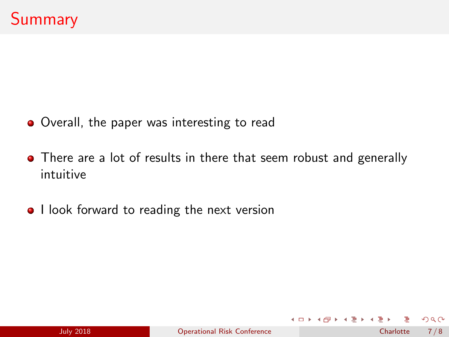- **•** Overall, the paper was interesting to read
- There are a lot of results in there that seem robust and generally intuitive
- I look forward to reading the next version

**◆ ロ ▶ → 何** 

 $\Omega$